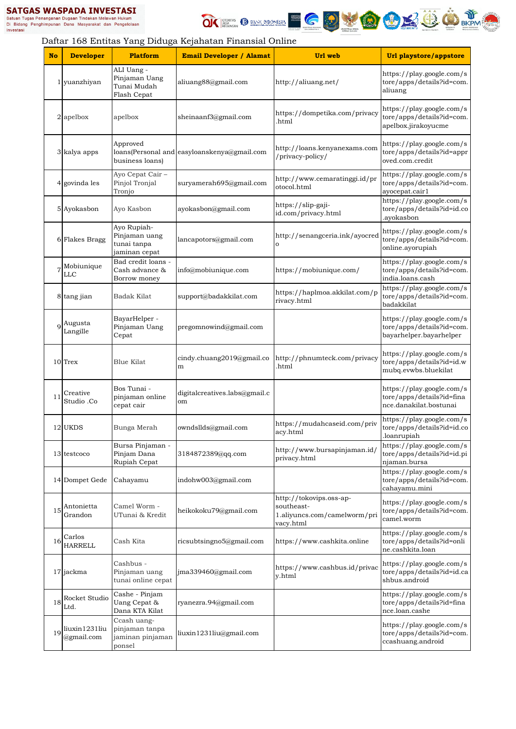



|           |                             |                                                              | Daftar 168 Entitas Yang Diduga Kejahatan Finansial Online |                                                                                    |                                                                                   |
|-----------|-----------------------------|--------------------------------------------------------------|-----------------------------------------------------------|------------------------------------------------------------------------------------|-----------------------------------------------------------------------------------|
| <b>No</b> | <b>Developer</b>            | <b>Platform</b>                                              | <b>Email Developer / Alamat</b>                           | Url web                                                                            | Url playstore/appstore                                                            |
|           | 1 yuanzhiyan                | ALI Uang -<br>Pinjaman Uang<br>Tunai Mudah<br>Flash Cepat    | aliuang88@gmail.com                                       | http://aliuang.net/                                                                | https://play.google.com/s<br>tore/apps/details?id=com.<br>aliuang                 |
|           | 2 apelbox                   | apelbox                                                      | sheinaanf3@gmail.com                                      | https://dompetika.com/privacy<br>.html                                             | https://play.google.com/s<br>tore/apps/details?id=com.<br>apelbox.jirakoyucme     |
|           | 3 kalya apps                | Approved<br>business loans)                                  | loans(Personal and easyloanskenya@gmail.com               | http://loans.kenyanexams.com<br>/privacy-policy/                                   | https://play.google.com/s<br>tore/apps/details?id=appr<br>oved.com.credit         |
|           | 4 govinda les               | Ayo Cepat Cair -<br>Pinjol Tronjal<br>Tronjo                 | suryamerah695@gmail.com                                   | http://www.cemaratinggi.id/pr<br>otocol.html                                       | https://play.google.com/s<br>tore/apps/details?id=com.<br>ayocepat.cair1          |
|           | 5 Ayokasbon                 | Ayo Kasbon                                                   | ayokasbon@gmail.com                                       | https://slip-gaji-<br>id.com/privacy.html                                          | https://play.google.com/s<br>tore/apps/details?id=id.co<br>.ayokasbon             |
|           | 6 Flakes Bragg              | Ayo Rupiah-<br>Pinjaman uang<br>tunai tanpa<br>jaminan cepat | lancapotors@gmail.com                                     | http://senangceria.ink/ayocred<br>o                                                | https://play.google.com/s<br>tore/apps/details?id=com.<br>online.ayorupiah        |
|           | Mobiunique<br>LLC           | Bad credit loans -<br>Cash advance &<br>Borrow money         | info@mobiunique.com                                       | https://mobiunique.com/                                                            | https://play.google.com/s<br>tore/apps/details?id=com.<br>india.loans.cash        |
|           | 8 tang jian                 | Badak Kilat                                                  | support@badakkilat.com                                    | https://haplmoa.akkilat.com/p<br>rivacy.html                                       | https://play.google.com/s<br>tore/apps/details?id=com.<br>badakkilat              |
|           | Augusta<br>Langille         | BayarHelper -<br>Pinjaman Uang<br>Cepat                      | pregomnowind@gmail.com                                    |                                                                                    | https://play.google.com/s<br>tore/apps/details?id=com.<br>bayarhelper.bayarhelper |
|           | 10 Trex                     | Blue Kilat                                                   | cindy.chuang2019@gmail.co<br>${\bf m}$                    | http://phnumteck.com/privacy<br>.html                                              | https://play.google.com/s<br>tore/apps/details?id=id.w<br>mubq.evwbs.bluekilat    |
| 11        | Creative<br>Studio .Co      | Bos Tunai -<br>pinjaman online<br>cepat cair                 | digitalcreatives.labs@gmail.c<br>om                       |                                                                                    | https://play.google.com/s<br>tore/apps/details?id=fina<br>nce.danakilat.bostunai  |
|           | 12 UKDS                     | Bunga Merah                                                  | owndsllds@gmail.com                                       | https://mudahcaseid.com/priv<br>acy.html                                           | https://play.google.com/s<br>tore/apps/details?id=id.co<br>.loanrupiah            |
|           | 13 testcoco                 | Bursa Pinjaman -<br>Pinjam Dana<br>Rupiah Cepat              | 3184872389@qq.com                                         | http://www.bursapinjaman.id/<br>privacy.html                                       | https://play.google.com/s<br>tore/apps/details?id=id.pi<br>njaman.bursa           |
|           | 14 Dompet Gede              | Cahayamu                                                     | indohw003@gmail.com                                       |                                                                                    | https://play.google.com/s<br>tore/apps/details?id=com.<br>cahayamu.mini           |
| 15        | Antonietta<br>Grandon       | Camel Worm -<br>UTunai & Kredit                              | heikokoku79@gmail.com                                     | http://tokovips.oss-ap-<br>southeast-<br>1.aliyuncs.com/camelworm/pri<br>vacy.html | https://play.google.com/s<br>tore/apps/details?id=com.<br>camel.worm              |
| 16        | Carlos<br><b>HARRELL</b>    | Cash Kita                                                    | ricsubtsingno5@gmail.com                                  | https://www.cashkita.online                                                        | https://play.google.com/s<br>tore/apps/details?id=onli<br>ne.cashkita.loan        |
|           | 17 jackma                   | Cashbus -<br>Pinjaman uang<br>tunai online cepat             | $ima339460$ @gmail.com                                    | https://www.cashbus.id/privac<br>y.html                                            | https://play.google.com/s<br>tore/apps/details?id=id.ca<br>shbus.android          |
| 18        | Rocket Studio<br>Ltd.       | Cashe - Pinjam<br>Uang Cepat &<br>Dana KTA Kilat             | ryanezra.94@gmail.com                                     |                                                                                    | https://play.google.com/s<br>tore/apps/details?id=fina<br>nce.loan.cashe          |
| 19        | liuxin1231liu<br>@gmail.com | Ccash uang-<br>pinjaman tanpa<br>jaminan pinjaman<br>ponsel  | liuxin1231liu@gmail.com                                   |                                                                                    | https://play.google.com/s<br>tore/apps/details?id=com.<br>ccashuang.android       |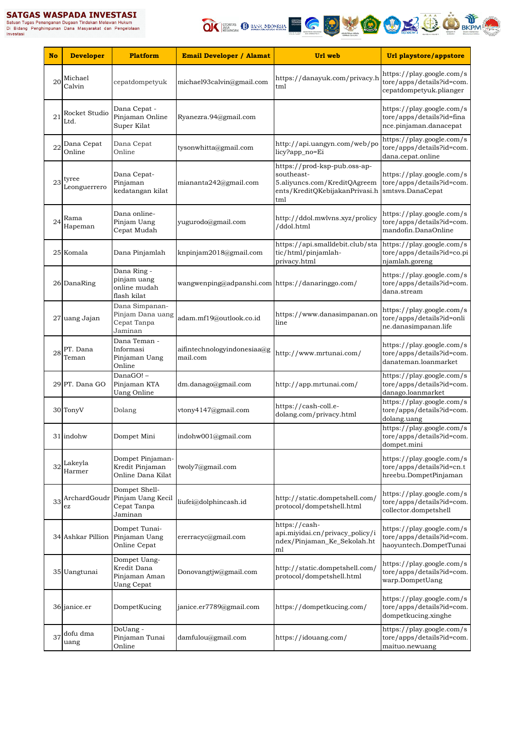Satuan Tugas Penanganan Dugaan Tindakan Melawan Hukum<br>Di Bidang Penanganan Dugaan Tindakan Melawan Hukum<br>Investasi



| <b>No</b> | <b>Developer</b>      | <b>Platform</b>                                                   | <b>Email Developer / Alamat</b>                  | Url web                                                                                                             | Url playstore/appstore                                                            |
|-----------|-----------------------|-------------------------------------------------------------------|--------------------------------------------------|---------------------------------------------------------------------------------------------------------------------|-----------------------------------------------------------------------------------|
| 20        | Michael<br>Calvin     | cepatdompetyuk                                                    | michael93calvin@gmail.com                        | https://danayuk.com/privacy.h<br>tml                                                                                | https://play.google.com/s<br>tore/apps/details?id=com.<br>cepatdompetyuk.plianger |
| 21        | Rocket Studio<br>Ltd. | Dana Cepat -<br>Pinjaman Online<br>Super Kilat                    | Ryanezra.94@gmail.com                            |                                                                                                                     | https://play.google.com/s<br>tore/apps/details?id=fina<br>nce.pinjaman.danacepat  |
| 22        | Dana Cepat<br>Online  | Dana Cepat<br>Online                                              | tysonwhitta@gmail.com                            | http://api.uangyn.com/web/po<br>licy?app_no=Ei                                                                      | https://play.google.com/s<br>tore/apps/details?id=com.<br>dana.cepat.online       |
| 23        | tyree<br>Leonguerrero | Dana Cepat-<br>Pinjaman<br>kedatangan kilat                       | miananta242@gmail.com                            | https://prod-ksp-pub.oss-ap-<br>southeast-<br>5.aliyuncs.com/KreditQAgreem<br>ents/KreditQKebijakanPrivasi.h<br>tml | https://play.google.com/s<br>tore/apps/details?id=com.<br>smtsvs.DanaCepat        |
| 24        | Rama<br>Hapeman       | Dana online-<br>Pinjam Uang<br>Cepat Mudah                        | yugurodo@gmail.com                               | http://ddol.mwlvns.xyz/prolicy<br>/ddol.html                                                                        | https://play.google.com/s<br>tore/apps/details?id=com.<br>mandofin.DanaOnline     |
|           | 25 Komala             | Dana Pinjamlah                                                    | knpinjam2018@gmail.com                           | https://api.smalldebit.club/sta<br>tic/html/pinjamlah-<br>privacy.html                                              | https://play.google.com/s<br>tore/apps/details?id=co.pi<br>njamlah.goreng         |
|           | 26 DanaRing           | Dana Ring -<br>pinjam uang<br>online mudah<br>flash kilat         | wangwenping@adpanshi.com https://danaringgo.com/ |                                                                                                                     | https://play.google.com/s<br>tore/apps/details?id=com.<br>dana.stream             |
|           | 27 uang Jajan         | Dana Simpanan-<br>Pinjam Dana uang<br>Cepat Tanpa<br>Jaminan      | adam.mf19@outlook.co.id                          | https://www.danasimpanan.on<br>line                                                                                 | https://play.google.com/s<br>tore/apps/details?id=onli<br>ne.danasimpanan.life    |
| 28        | PT. Dana<br>Teman     | Dana Teman -<br>Informasi<br>Pinjaman Uang<br>Online              | aifintechnologyindonesiaa@g<br>mail.com          | http://www.mrtunai.com/                                                                                             | https://play.google.com/s<br>tore/apps/details?id=com.<br>danateman.loanmarket    |
|           | 29 PT. Dana GO        | DanaGO!-<br>Pinjaman KTA<br><b>Uang Online</b>                    | dm.danago@gmail.com                              | http://app.mrtunai.com/                                                                                             | https://play.google.com/s<br>tore/apps/details?id=com.<br>danago.loanmarket       |
|           | 30 TonyV              | Dolang                                                            | vtony4147@gmail.com                              | https://cash-coll.e-<br>dolang.com/privacy.html                                                                     | https://play.google.com/s<br>tore/apps/details?id=com.<br>dolang.uang             |
|           | 31 indohw             | Dompet Mini                                                       | indohw001@gmail.com                              |                                                                                                                     | https://play.google.com/s<br>tore/apps/details?id=com.<br>dompet.mini             |
| 32        | Lakeyla<br>Harmer     | Dompet Pinjaman-<br>Kredit Pinjaman<br>Online Dana Kilat          | twoly7@gmail.com                                 |                                                                                                                     | https://play.google.com/s<br>tore/apps/details?id=cn.t<br>hreebu.DompetPinjaman   |
| 33        | ArchardGoudr<br>ez    | Dompet Shell-<br>Pinjam Uang Kecil<br>Cepat Tanpa<br>Jaminan      | liufei@dolphincash.id                            | http://static.dompetshell.com/<br>protocol/dompetshell.html                                                         | https://play.google.com/s<br>tore/apps/details?id=com.<br>collector.dompetshell   |
|           | 34 Ashkar Pillion     | Dompet Tunai-<br>Pinjaman Uang<br>Online Cepat                    | ererracyc@gmail.com                              | https://cash-<br>api.miyidai.cn/privacy_policy/i<br>ndex/Pinjaman_Ke_Sekolah.ht<br>ml                               | https://play.google.com/s<br>tore/apps/details?id=com.<br>haoyuntech.DompetTunai  |
|           | 35 Uangtunai          | Dompet Uang-<br>Kredit Dana<br>Pinjaman Aman<br><b>Uang Cepat</b> | Donovangtjw@gmail.com                            | http://static.dompetshell.com/<br>protocol/dompetshell.html                                                         | https://play.google.com/s<br>tore/apps/details?id=com.<br>warp.DompetUang         |
|           | 36 janice.er          | DompetKucing                                                      | janice.er7789@gmail.com                          | https://dompetkucing.com/                                                                                           | https://play.google.com/s<br>tore/apps/details?id=com.<br>dompetkucing.xinghe     |
| 37        | dofu dma<br>uang      | DoUang -<br>Pinjaman Tunai<br>Online                              | damfulou@gmail.com                               | https://idouang.com/                                                                                                | https://play.google.com/s<br>tore/apps/details?id=com.<br>maituo.newuang          |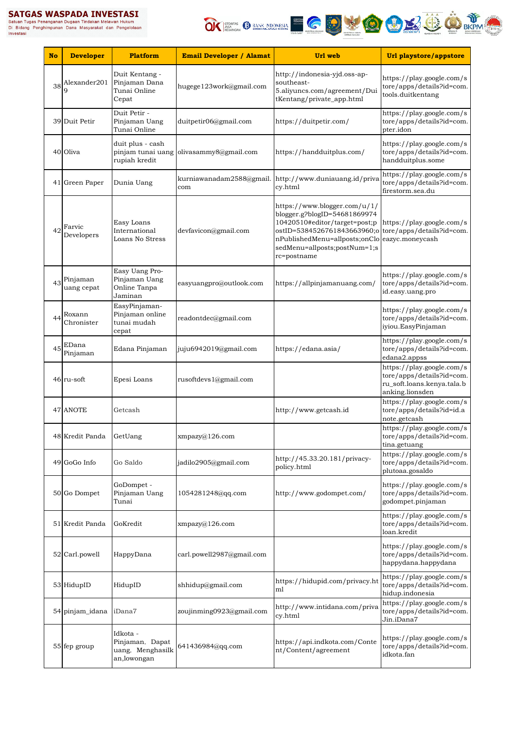# **SATGAS WASPADA INVESTASI**<br>Satuan Tugas Penanganan Dugaan Tindakan Melawan Hukum<br>Di Bidang Penghimpunan Dana Masyarakat dan Pengelolaan<br>Investasi



| <b>No</b> | <b>Developer</b>                  | <b>Platform</b>                                                | <b>Email Developer / Alamat</b> | Url web                                                                                                                                                                                                                                | Url playstore/appstore                                                                                  |
|-----------|-----------------------------------|----------------------------------------------------------------|---------------------------------|----------------------------------------------------------------------------------------------------------------------------------------------------------------------------------------------------------------------------------------|---------------------------------------------------------------------------------------------------------|
|           | $38$ <sup>Alexander201</sup><br>g | Duit Kentang -<br>Pinjaman Dana<br>Tunai Online<br>Cepat       | hugege123work@gmail.com         | http://indonesia-yjd.oss-ap-<br>southeast-<br>5.aliyuncs.com/agreement/Dui<br>tKentang/private_app.html                                                                                                                                | https://play.google.com/s<br>tore/apps/details?id=com.<br>tools.duitkentang                             |
|           | 39 Duit Petir                     | Duit Petir -<br>Pinjaman Uang<br>Tunai Online                  | duitpetir06@gmail.com           | https://duitpetir.com/                                                                                                                                                                                                                 | https://play.google.com/s<br>tore/apps/details?id=com.<br>pter.idon                                     |
|           | 40 Oliva                          | duit plus - cash<br>pinjam tunai uang<br>rupiah kredit         | olivasammy8@gmail.com           | https://handduitplus.com/                                                                                                                                                                                                              | https://play.google.com/s<br>tore/apps/details?id=com.<br>handduitplus.some                             |
|           | 41 Green Paper                    | Dunia Uang                                                     | kurniawanadam2588@gmail.<br>com | http://www.duniauang.id/priva<br>cy.html                                                                                                                                                                                               | https://play.google.com/s<br>tore/apps/details?id=com.<br>firestorm.sea.du                              |
| 42        | Farvic<br>Developers              | Easy Loans<br>International<br>Loans No Stress                 | devfavicon@gmail.com            | https://www.blogger.com/u/1/<br>blogger.g?blogID=54681869974<br>10420510#editor/target=post;p<br>ostID=5384526761843663960;o tore/apps/details?id=com.<br>nPublishedMenu=allposts;onClo<br>sedMenu=allposts;postNum=1;s<br>rc=postname | https://play.google.com/s<br>eazyc.moneycash                                                            |
| 43        | Pinjaman<br>uang cepat            | Easy Uang Pro-<br>Pinjaman Uang<br>Online Tanpa<br>Jaminan     | easyuangpro@outlook.com         | https://allpinjamanuang.com/                                                                                                                                                                                                           | https://play.google.com/s<br>tore/apps/details?id=com.<br>id.easy.uang.pro                              |
| 44        | Roxann<br>Chronister              | EasyPinjaman-<br>Pinjaman online<br>tunai mudah<br>cepat       | readontdec@gmail.com            |                                                                                                                                                                                                                                        | https://play.google.com/s<br>tore/apps/details?id=com.<br>iyiou.EasyPinjaman                            |
| 45        | EDana<br>Pinjaman                 | Edana Pinjaman                                                 | juju6942019@gmail.com           | https://edana.asia/                                                                                                                                                                                                                    | https://play.google.com/s<br>tore/apps/details?id=com.<br>edana2.appss                                  |
|           | 46 ru-soft                        | Epesi Loans                                                    | rusoftdevs1@gmail.com           |                                                                                                                                                                                                                                        | https://play.google.com/s<br>tore/apps/details?id=com.<br>ru_soft.loans.kenya.tala.b<br>anking.lionsden |
|           | 47 ANOTE                          | Getcash                                                        |                                 | http://www.getcash.id                                                                                                                                                                                                                  | https://play.google.com/s<br>tore/apps/details?id=id.a<br>note.getcash                                  |
|           | 48 Kredit Panda                   | GetUang                                                        | xmpazy@126.com                  |                                                                                                                                                                                                                                        | https://play.google.com/s<br>tore/apps/details?id=com.<br>tina.getuang                                  |
|           | 49 GoGo Info                      | Go Saldo                                                       | jadilo2905@gmail.com            | http://45.33.20.181/privacy-<br>policy.html                                                                                                                                                                                            | https://play.google.com/s<br>tore/apps/details?id=com.<br>plutoaa.gosaldo                               |
|           | 50 Go Dompet                      | GoDompet -<br>Pinjaman Uang<br>Tunai                           | 1054281248@qq.com               | http://www.godompet.com/                                                                                                                                                                                                               | https://play.google.com/s<br>tore/apps/details?id=com.<br>godompet.pinjaman                             |
|           | 51 Kredit Panda                   | GoKredit                                                       | xmpazy@126.com                  |                                                                                                                                                                                                                                        | https://play.google.com/s<br>tore/apps/details?id=com.<br>loan.kredit                                   |
|           | 52 Carl.powell                    | HappyDana                                                      | carl.powell2987@gmail.com       |                                                                                                                                                                                                                                        | https://play.google.com/s<br>tore/apps/details?id=com.<br>happydana.happydana                           |
|           | 53 HidupID                        | HidupID                                                        | shhidup@gmail.com               | https://hidupid.com/privacy.ht<br>ml                                                                                                                                                                                                   | https://play.google.com/s<br>tore/apps/details?id=com.<br>hidup.indonesia                               |
|           | 54 pinjam_idana                   | iDana7                                                         | zoujinming0923@gmail.com        | http://www.intidana.com/priva<br>cy.html                                                                                                                                                                                               | https://play.google.com/s<br>tore/apps/details?id=com.<br>Jin.iDana7                                    |
|           | 55 fep group                      | Idkota -<br>Pinjaman, Dapat<br>uang, Menghasilk<br>an,lowongan | 641436984@qq.com                | https://api.indkota.com/Conte<br>nt/Content/agreement                                                                                                                                                                                  | https://play.google.com/s<br>tore/apps/details?id=com.<br>idkota.fan                                    |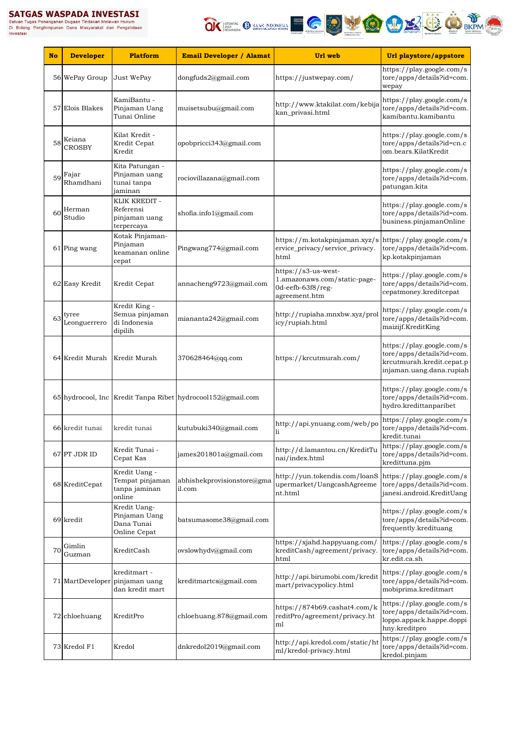# SATGAS WASPADA INVESTASI Satuan Tugas Penanganan Dugaan Tindakan Melawan Hukum<br>Di Bidang Penghimpunan Dugaan Tindakan Melawan Hukum<br>Investasi<br>Investasi



| <b>No</b> | <b>Developer</b>      | <b>Platform</b>                                                   | <b>Email Developer / Alamat</b>                             | Url web                                                                                          | Url playstore/appstore                                                                                          |
|-----------|-----------------------|-------------------------------------------------------------------|-------------------------------------------------------------|--------------------------------------------------------------------------------------------------|-----------------------------------------------------------------------------------------------------------------|
|           | 56 WePay Group        | Just WePay                                                        | dongfuds2@gmail.com                                         | https://justwepay.com/                                                                           | https://play.google.com/s<br>tore/apps/details?id=com.<br>wepay                                                 |
|           | 57 Elois Blakes       | KamiBantu -<br>Pinjaman Uang<br>Tunai Online                      | muisetsubu@gmail.com                                        | http://www.ktakilat.com/kebija<br>kan_privasi.html                                               | https://play.google.com/s<br>tore/apps/details?id=com.<br>kamibantu.kamibantu                                   |
| 58        | Keiana<br>CROSBY      | Kilat Kredit -<br>Kredit Cepat<br>Kredit                          | opobpricci343@gmail.com                                     |                                                                                                  | https://play.google.com/s<br>tore/apps/details?id=cn.c<br>om.bears.KilatKredit                                  |
| 59        | Fajar<br>Rhamdhani    | Kita Patungan -<br>Pinjaman uang<br>tunai tanpa<br>jaminan        | rociovillazana@gmail.com                                    |                                                                                                  | https://play.google.com/s<br>tore/apps/details?id=com.<br>patungan.kita                                         |
| 60        | Herman<br>Studio      | KLIK KREDIT -<br>Referensi<br>pinjaman uang<br>terpercaya         | shofia.info1@gmail.com                                      |                                                                                                  | https://play.google.com/s<br>tore/apps/details?id=com.<br>business.pinjamanOnline                               |
|           | 61 Ping wang          | Kotak Pinjaman-<br>Pinjaman<br>keamanan online<br>cepat           | Pingwang774@gmail.com                                       | https://m.kotakpinjaman.xyz/s<br>ervice_privacy/service_privacy.<br>html                         | https://play.google.com/s<br>tore/apps/details?id=com.<br>kp.kotakpinjaman                                      |
|           | 62 Easy Kredit        | Kredit Cepat                                                      | annacheng9723@gmail.com                                     | https://s3-us-west-<br>1.amazonaws.com/static-page-<br>0d-eefb-63f8/reg-<br>agreement.htm        | https://play.google.com/s<br>tore/apps/details?id=com.<br>cepatmoney.kreditcepat                                |
| 63        | tyree<br>Leonguerrero | Kredit King -<br>Semua pinjaman<br>di Indonesia<br>dipilih        | miananta242@gmail.com                                       | http://rupiaha.mnxbw.xyz/prol<br>icy/rupiah.html                                                 | https://play.google.com/s<br>tore/apps/details?id=com.<br>maizijf.KreditKing                                    |
|           | 64 Kredit Murah       | Kredit Murah                                                      | 370628464@qq.com                                            | https://krcutmurah.com/                                                                          | https://play.google.com/s<br>tore/apps/details?id=com.<br>krcutmurah.kredit.cepat.p<br>injaman.uang.dana.rupiah |
|           |                       |                                                                   | 65 hydrocool, Inc Kredit Tanpa Ribet hydrocool152@gmail.com |                                                                                                  | https://play.google.com/s<br>tore/apps/details?id=com.<br>hydro.kredittanparibet                                |
|           | 66 kredit tunai       | kredit tunai                                                      | kutubuki340@gmail.com                                       | http://api.ynuang.com/web/po<br><sup>1</sup>                                                     | https://play.google.com/s<br>tore/apps/details?id=com.<br>kredit.tunai                                          |
|           | 67 PT JDR ID          | Kredit Tunai -<br>Cepat Kas                                       | james201801a@gmail.com                                      | http://d.lamantou.cn/KreditTu<br>nai/index.html                                                  | https://play.google.com/s<br>tore/apps/details?id=com.<br>kredittuna.pjm                                        |
|           | 68 KreditCepat        | Kredit Uang -<br>Tempat pinjaman<br>tanpa jaminan<br>online       | abhishekprovisionstore@gma<br>il.com                        | http://yun.tokendis.com/loanS https://play.google.com/s<br>upermarket/UangcashAgreeme<br>nt.html | tore/apps/details?id=com.<br>janesi.android.KreditUang                                                          |
|           | 69 kredit             | Kredit Uang-<br>Pinjaman Uang<br>Dana Tunai<br>Online Cepat       | batsumasome38@gmail.com                                     |                                                                                                  | https://play.google.com/s<br>tore/apps/details?id=com.<br>frequently.kredituang                                 |
| 70        | Gimlin<br>Guzman      | KreditCash                                                        | ovslowhydv@gmail.com                                        | https://xjahd.happyuang.com/<br>kreditCash/agreement/privacy.<br>html                            | https://play.google.com/s<br>tore/apps/details?id=com.<br>kr.edit.ca.sh                                         |
|           |                       | kreditmart -<br>71 MartDeveloper pinjaman uang<br>dan kredit mart | kreditmartcs@gmail.com                                      | http://api.birumobi.com/kredit<br>mart/privacypolicy.html                                        | https://play.google.com/s<br>tore/apps/details?id=com.<br>mobiprima.kreditmart                                  |
|           | 72 chloehuang         | KreditPro                                                         | chloehuang.878@gmail.com                                    | https://874b69.cashat4.com/k<br>reditPro/agreement/privacy.ht<br>ml                              | https://play.google.com/s<br>tore/apps/details?id=com.<br>loppo.appack.happe.doppi<br>hny.kreditpro             |
|           | 73 Kredol F1          | Kredol                                                            | dnkredol2019@gmail.com                                      | http://api.kredol.com/static/ht<br>ml/kredol-privacy.html                                        | https://play.google.com/s<br>tore/apps/details?id=com.<br>kredol.pinjam                                         |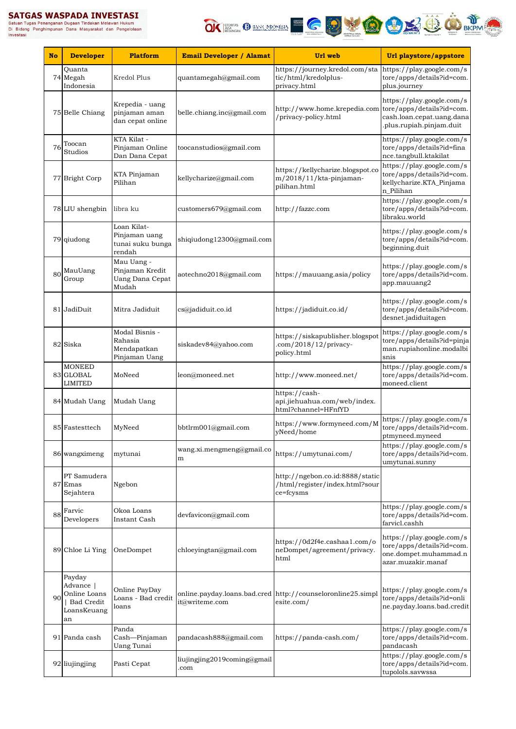**SATGAS WASPADA INVESTASI**<br>Satuan Tugas Penanganan Dugaan Tindakan Melawan Hukum<br>Di Bidang Penghimpunan Dana Masyarakat dan Pengelolaan<br>Investasi



| <b>No</b> | <b>Developer</b>                                                              | <b>Platform</b>                                                  | <b>Email Developer / Alamat</b>     | Url web                                                                                          | Url playstore/appstore                                                                                          |
|-----------|-------------------------------------------------------------------------------|------------------------------------------------------------------|-------------------------------------|--------------------------------------------------------------------------------------------------|-----------------------------------------------------------------------------------------------------------------|
|           | Quanta<br>74 Megah<br>Indonesia                                               | Kredol Plus                                                      | quantamegah@gmail.com               | https://journey.kredol.com/sta https://play.google.com/s<br>tic/html/kredolplus-<br>privacy.html | tore/apps/details?id=com.<br>plus.journey                                                                       |
|           | 75 Belle Chiang                                                               | Krepedia - uang<br>pinjaman aman<br>dan cepat online             | belle.chiang.inc@gmail.com          | http://www.home.krepedia.com<br>/privacy-policy.html                                             | https://play.google.com/s<br>tore/apps/details?id=com.<br>cash.loan.cepat.uang.dana<br>.plus.rupiah.pinjam.duit |
| 76        | Toocan<br>Studios                                                             | KTA Kilat -<br>Pinjaman Online<br>Dan Dana Cepat                 | toocanstudios@gmail.com             |                                                                                                  | https://play.google.com/s<br>tore/apps/details?id=fina<br>nce.tangbull.ktakilat                                 |
|           | 77 Bright Corp                                                                | KTA Pinjaman<br>Pilihan                                          | kellycharize@gmail.com              | https://kellycharize.blogspot.co<br>m/2018/11/kta-pinjaman-<br>pilihan.html                      | https://play.google.com/s<br>tore/apps/details?id=com.<br>kellycharize.KTA_Pinjama<br>n Pilihan                 |
|           | 78 LIU shengbin                                                               | libra ku                                                         | customers679@gmail.com              | http://fazzc.com                                                                                 | https://play.google.com/s<br>tore/apps/details?id=com.<br>libraku.world                                         |
|           | 79 qiudong                                                                    | Loan Kilat-<br>Pinjaman uang<br>tunai suku bunga<br>rendah       | shiqiudong12300@gmail.com           |                                                                                                  | https://play.google.com/s<br>tore/apps/details?id=com.<br>beginning.duit                                        |
| 80        | MauUang<br>Group                                                              | Mau Uang -<br>Pinjaman Kredit<br><b>Uang Dana Cepat</b><br>Mudah | aotechno2018@gmail.com              | https://mauuang.asia/policy                                                                      | https://play.google.com/s<br>tore/apps/details?id=com.<br>app.mauuang2                                          |
|           | 81 JadiDuit                                                                   | Mitra Jadiduit                                                   | cs@jadiduit.co.id                   | https://jadiduit.co.id/                                                                          | https://play.google.com/s<br>tore/apps/details?id=com.<br>desnet.jadiduitagen                                   |
|           | 82 Siska                                                                      | Modal Bisnis -<br>Rahasia<br>Mendapatkan<br>Pinjaman Uang        | siskadev84@yahoo.com                | https://siskapublisher.blogspot<br>.com/2018/12/privacy-<br>policy.html                          | https://play.google.com/s<br>tore/apps/details?id=pinja<br>man.rupiahonline.modalbi<br>snis                     |
|           | <b>MONEED</b><br>83 GLOBAL<br><b>LIMITED</b>                                  | MoNeed                                                           | leon@moneed.net                     | http://www.moneed.net/                                                                           | https://play.google.com/s<br>tore/apps/details?id=com.<br>moneed.client                                         |
|           | 84 Mudah Uang                                                                 | Mudah Uang                                                       |                                     | https://cash-<br>api.jiehuahua.com/web/index.<br>html?channel=HFnfYD                             |                                                                                                                 |
|           | 85 Fastesttech                                                                | MyNeed                                                           | bbtlrm001@gmail.com                 | https://www.formyneed.com/M<br>yNeed/home                                                        | https://play.google.com/s<br>tore/apps/details?id=com.<br>ptmyneed.myneed                                       |
|           | 86 wangximeng                                                                 | mytunai                                                          | wang.xi.mengmeng@gmail.co<br>m      | https://umytunai.com/                                                                            | https://play.google.com/s<br>tore/apps/details?id=com.<br>umytunai.sunny                                        |
|           | PT Samudera<br>87 Emas<br>Sejahtera                                           | Ngebon                                                           |                                     | http://ngebon.co.id:8888/static<br>/html/register/index.html?sour<br>ce=fcysms                   |                                                                                                                 |
| 88        | Farvic<br>Developers                                                          | Okoa Loans<br>Instant Cash                                       | devfavicon@gmail.com                |                                                                                                  | https://play.google.com/s<br>tore/apps/details?id=com.<br>farvicl.cashh                                         |
|           | 89 Chloe Li Ying                                                              | OneDompet                                                        | chloeyingtan@gmail.com              | https://0d2f4e.cashaa1.com/o<br>neDompet/agreement/privacy.<br>html                              | https://play.google.com/s<br>tore/apps/details?id=com.<br>one.dompet.muhammad.n<br>azar.muzakir.manaf           |
| 90        | Payday<br>Advance  <br>Online Loans<br><b>Bad Credit</b><br>LoansKeuang<br>an | Online PayDay<br>Loans - Bad credit<br>loans                     | it@writeme.com                      | online.payday.loans.bad.cred http://counseloronline25.simpl<br>esite.com/                        | https://play.google.com/s<br>tore/apps/details?id=onli<br>ne.payday.loans.bad.credit                            |
|           | 91 Panda cash                                                                 | Panda<br>Cash-Pinjaman<br><b>Uang Tunai</b>                      | pandacash888@gmail.com              | https://panda-cash.com/                                                                          | https://play.google.com/s<br>tore/apps/details?id=com.<br>pandacash                                             |
|           | 92 liujingjing                                                                | Pasti Cepat                                                      | liujingjing2019coming@gmail<br>.com |                                                                                                  | https://play.google.com/s<br>tore/apps/details?id=com.<br>tupolols.savwssa                                      |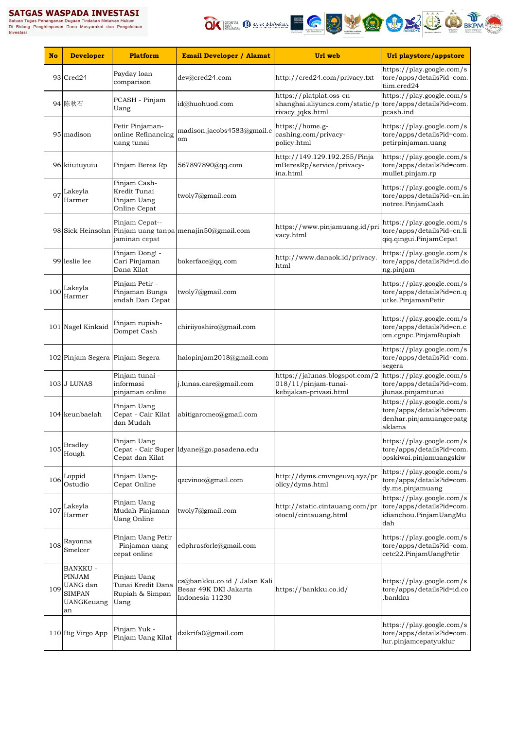

| <b>No</b> | <b>Developer</b>                                                    | Platform                                                    | <b>Email Developer / Alamat</b>                                          | Url web                                                                                                    | Url playstore/appstore                                                                      |
|-----------|---------------------------------------------------------------------|-------------------------------------------------------------|--------------------------------------------------------------------------|------------------------------------------------------------------------------------------------------------|---------------------------------------------------------------------------------------------|
|           | 93 Cred24                                                           | Payday loan<br>comparison                                   | dev@cred24.com                                                           | http://cred24.com/privacy.txt                                                                              | https://play.google.com/s<br>tore/apps/details?id=com.<br>tiim.cred24                       |
|           | 94 陈秋石                                                              | PCASH - Pinjam<br>Uang                                      | id@huohuod.com                                                           | https://platplat.oss-cn-<br>shanghai.aliyuncs.com/static/p tore/apps/details?id=com.<br>rivacy_jqks.html   | https://play.google.com/s<br>pcash.ind                                                      |
|           | 95 madison                                                          | Petir Pinjaman-<br>online Refinancing<br>uang tunai         | madison.jacobs4583@gmail.c<br>om                                         | https://home.g-<br>cashing.com/privacy-<br>policy.html                                                     | https://play.google.com/s<br>tore/apps/details?id=com.<br>petirpinjaman.uang                |
|           | 96 kiiutuyuiu                                                       | Pinjam Beres Rp                                             | 567897890@qq.com                                                         | http://149.129.192.255/Pinja<br>mBeresRp/service/privacy-<br>ina.html                                      | https://play.google.com/s<br>tore/apps/details?id=com.<br>mullet.pinjam.rp                  |
| 97        | Lakeyla<br>Harmer                                                   | Pinjam Cash-<br>Kredit Tunai<br>Pinjam Uang<br>Online Cepat | twoly7@gmail.com                                                         |                                                                                                            | https://play.google.com/s<br>tore/apps/details?id=cn.in<br>notree.PinjamCash                |
|           |                                                                     | Pinjam Cepat--<br>jaminan cepat                             | 98 Sick Heinsohn Pinjam uang tanpa menajin50@gmail.com                   | https://www.pinjamuang.id/pri<br>vacy.html                                                                 | https://play.google.com/s<br>tore/apps/details?id=cn.li<br>qiq.qingui.PinjamCepat           |
|           | 99 leslie lee                                                       | Pinjam Dong! -<br>Cari Pinjaman<br>Dana Kilat               | bokerface@qq.com                                                         | http://www.danaok.id/privacy.<br>html                                                                      | https://play.google.com/s<br>tore/apps/details?id=id.do<br>ng.pinjam                        |
| 100       | Lakeyla<br>Harmer                                                   | Pinjam Petir -<br>Pinjaman Bunga<br>endah Dan Cepat         | twoly7@gmail.com                                                         |                                                                                                            | https://play.google.com/s<br>tore/apps/details?id=cn.q<br>utke.PinjamanPetir                |
|           | 101 Nagel Kinkaid                                                   | Pinjam rupiah-<br>Dompet Cash                               | chiriiyoshiro@gmail.com                                                  |                                                                                                            | https://play.google.com/s<br>tore/apps/details?id=cn.c<br>om.cgnpc.PinjamRupiah             |
|           | 102 Pinjam Segera Pinjam Segera                                     |                                                             | halopinjam2018@gmail.com                                                 |                                                                                                            | https://play.google.com/s<br>tore/apps/details?id=com.<br>segera                            |
|           | 103 J LUNAS                                                         | Pinjam tunai -<br>informasi<br>pinjaman online              | j.lunas.care@gmail.com                                                   | https://jalunas.blogspot.com/2 https://play.google.com/s<br>018/11/pinjam-tunai-<br>kebijakan-privasi.html | tore/apps/details?id=com.<br>jlunas.pinjamtunai                                             |
|           | 104 keunbaelah                                                      | Pinjam Uang<br>Cepat - Cair Kilat<br>dan Mudah              | abitigaromeo@gmail.com                                                   |                                                                                                            | https://play.google.com/s<br>tore/apps/details?id=com.<br>denhar.pinjamuangcepatg<br>aklama |
| 105       | <b>Bradley</b><br>Hough                                             | Pinjam Uang<br>Cepat dan Kilat                              | Cepat - Cair Super dyane@go.pasadena.edu                                 |                                                                                                            | https://play.google.com/s<br>tore/apps/details?id=com.<br>opskiwai.pinjamuangskiw           |
| 106       | Loppid<br>Ostudio                                                   | Pinjam Uang-<br>Cepat Online                                | qzcvinoo@gmail.com                                                       | http://dyms.cmvngeuvq.xyz/pr<br>olicy/dyms.html                                                            | https://play.google.com/s<br>tore/apps/details?id=com.<br>dy.ms.pinjamuang                  |
| 107       | Lakeyla<br>Harmer                                                   | Pinjam Uang<br>Mudah-Pinjaman<br><b>Uang Online</b>         | twoly7@gmail.com                                                         | http://static.cintauang.com/pr<br>otocol/cintauang.html                                                    | https://play.google.com/s<br>tore/apps/details?id=com.<br>idianchou.PinjamUangMu<br>dah     |
| 108       | Rayonna<br>Smelcer                                                  | Pinjam Uang Petir<br>Pinjaman uang<br>cepat online          | edphrasforle@gmail.com                                                   |                                                                                                            | https://play.google.com/s<br>tore/apps/details?id=com.<br>cetc22.PinjamUangPetir            |
| 109       | <b>BANKKU -</b><br>PINJAM<br>UANG dan<br>SIMPAN<br>UANGKeuang<br>an | Pinjam Uang<br>Tunai Kredit Dana<br>Rupiah & Simpan<br>Uang | cs@bankku.co.id / Jalan Kali<br>Besar 49K DKI Jakarta<br>Indonesia 11230 | https://bankku.co.id/                                                                                      | https://play.google.com/s<br>tore/apps/details?id=id.co<br>.bankku                          |
|           | 110 Big Virgo App                                                   | Pinjam Yuk -<br>Pinjam Uang Kilat                           | dzikrifa0@gmail.com                                                      |                                                                                                            | https://play.google.com/s<br>tore/apps/details?id=com.<br>lur.pinjamcepatyuklur             |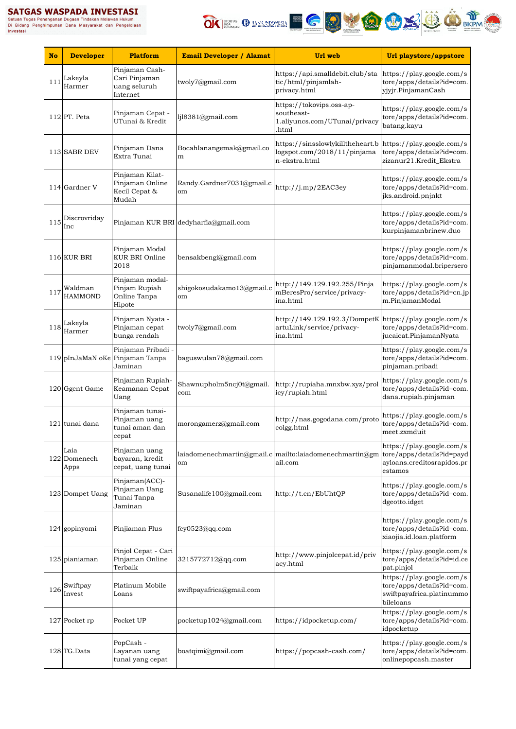

| <b>No</b> | <b>Developer</b>             | <b>Platform</b>                                                | <b>Email Developer / Alamat</b>       | Url web                                                                                                    | Url playstore/appstore                                                                           |
|-----------|------------------------------|----------------------------------------------------------------|---------------------------------------|------------------------------------------------------------------------------------------------------------|--------------------------------------------------------------------------------------------------|
| 111       | Lakeyla<br>Harmer            | Pinjaman Cash-<br>Cari Pinjaman<br>uang seluruh<br>Internet    | twoly7@gmail.com                      | https://api.smalldebit.club/sta<br>tic/html/pinjamlah-<br>privacy.html                                     | https://play.google.com/s<br>tore/apps/details?id=com.<br>yjyjr.PinjamanCash                     |
|           | 112 PT. Peta                 | Pinjaman Cepat -<br>UTunai & Kredit                            | lj18381@gmail.com                     | https://tokovips.oss-ap-<br>southeast-<br>1.aliyuncs.com/UTunai/privacy<br>.html                           | https://play.google.com/s<br>tore/apps/details?id=com.<br>batang.kayu                            |
|           | 113 SABR DEV                 | Pinjaman Dana<br>Extra Tunai                                   | Bocahlanangemak@gmail.co<br>m         | https://sinsslowlykilltheheart.b https://play.google.com/s<br>logspot.com/2018/11/pinjama<br>n-ekstra.html | tore/apps/details?id=com.<br>zizanur21.Kredit_Ekstra                                             |
|           | 114 Gardner V                | Pinjaman Kilat-<br>Pinjaman Online<br>Kecil Cepat &<br>Mudah   | Randy.Gardner7031@gmail.c<br>om       | http://j.mp/2EAC3ey                                                                                        | https://play.google.com/s<br>tore/apps/details?id=com.<br>jks.android.pnjnkt                     |
| 115       | Discrovriday<br>Inc          |                                                                | Pinjaman KUR BRI dedyharfia@gmail.com |                                                                                                            | https://play.google.com/s<br>tore/apps/details?id=com.<br>kurpinjamanbrinew.duo                  |
|           | 116 KUR BRI                  | Pinjaman Modal<br><b>KUR BRI Online</b><br>2018                | bensakbengi@gmail.com                 |                                                                                                            | https://play.google.com/s<br>tore/apps/details?id=com.<br>pinjamanmodal.bripersero               |
| 117       | Waldman<br><b>HAMMOND</b>    | Pinjaman modal-<br>Pinjam Rupiah<br>Online Tanpa<br>Hipote     | shigokosudakamo13@gmail.c<br>om       | http://149.129.192.255/Pinja<br>mBeresPro/service/privacy-<br>ina.html                                     | https://play.google.com/s<br>tore/apps/details?id=cn.jp<br>m.PinjamanModal                       |
| 118       | Lakeyla<br>Harmer            | Pinjaman Nyata -<br>Pinjaman cepat<br>bunga rendah             | twoly7@gmail.com                      | http://149.129.192.3/DompetK https://play.google.com/s<br>artuLink/service/privacy-<br>ina.html            | tore/apps/details?id=com.<br>jucaicat.PinjamanNyata                                              |
|           |                              | Pinjaman Pribadi<br>119 pInJaMaN oKe Pinjaman Tanpa<br>Jaminan | baguswulan78@gmail.com                |                                                                                                            | https://play.google.com/s<br>tore/apps/details?id=com.<br>pinjaman.pribadi                       |
|           | 120 Ggcnt Game               | Pinjaman Rupiah-<br>Keamanan Cepat<br>Uang                     | Shawnupholm5ncj0t@gmail.<br>com       | http://rupiaha.mnxbw.xyz/prol<br>icy/rupiah.html                                                           | https://play.google.com/s<br>tore/apps/details?id=com.<br>dana.rupiah.pinjaman                   |
|           | 121 tunai dana               | Pinjaman tunai-<br>Pinjaman uang<br>tunai aman dan<br>cepat    | morongamerz@gmail.com                 | http://nas.gogodana.com/proto<br>colgg.html                                                                | https://play.google.com/s<br>tore/apps/details?id=com.<br>meet.zxmduit                           |
|           | Laia<br>122 Domenech<br>Apps | Pinjaman uang<br>bayaran, kredit<br>cepat, uang tunai          | om                                    | laiadomenechmartin@gmail.c mailto:laiadomenechmartin@gm tore/apps/details?id=payd<br>ail.com               | https://play.google.com/s<br>ayloans.creditosrapidos.pr<br>estamos                               |
|           | 123 Dompet Uang              | Pinjaman(ACC)-<br>Pinjaman Uang<br>Tunai Tanpa<br>Jaminan      | Susanalife100@gmail.com               | http://t.cn/EbUhtQP                                                                                        | https://play.google.com/s<br>tore/apps/details?id=com.<br>dgeotto.idget                          |
|           | 124 gopinyomi                | Pinjiaman Plus                                                 | fcy0523@qq.com                        |                                                                                                            | https://play.google.com/s<br>tore/apps/details?id=com.<br>xiaojia.id.loan.platform               |
|           | 125 pianiaman                | Pinjol Cepat - Cari<br>Pinjaman Online<br>Terbaik              | 3215772712@qq.com                     | http://www.pinjolcepat.id/priv<br>acy.html                                                                 | https://play.google.com/s<br>tore/apps/details?id=id.ce<br>pat.pinjol                            |
| 126       | Swiftpay<br>Invest           | Platinum Mobile<br>Loans                                       | swiftpayafrica@gmail.com              |                                                                                                            | https://play.google.com/s<br>tore/apps/details?id=com.<br>swiftpayafrica.platinummo<br>bileloans |
|           | 127 Pocket rp                | Pocket UP                                                      | pocketup1024@gmail.com                | https://idpocketup.com/                                                                                    | https://play.google.com/s<br>tore/apps/details?id=com.<br>idpocketup                             |
|           | 128 TG.Data                  | PopCash -<br>Layanan uang<br>tunai yang cepat                  | boatqimi@gmail.com                    | https://popcash-cash.com/                                                                                  | https://play.google.com/s<br>tore/apps/details?id=com.<br>onlinepopcash.master                   |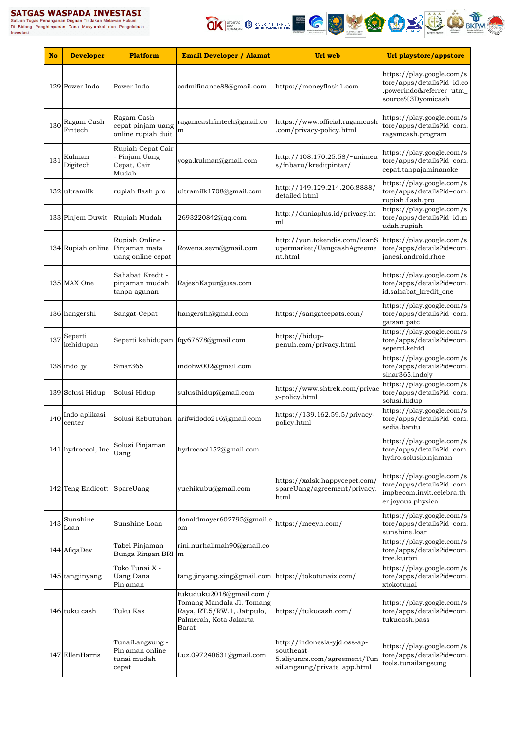Satuan Tugas Penanganan Dugaan Tindakan Melawan Hukum<br>Di Bidang Penghimpunan Dana Masyarakat dan Pengelolaan<br>Investasi



| <b>No</b> | <b>Developer</b>        | <b>Platform</b>                                            | <b>Email Developer / Alamat</b>                                                                                        | Url web                                                                                                   | Url playstore/appstore                                                                                   |
|-----------|-------------------------|------------------------------------------------------------|------------------------------------------------------------------------------------------------------------------------|-----------------------------------------------------------------------------------------------------------|----------------------------------------------------------------------------------------------------------|
|           | 129 Power Indo          | Power Indo                                                 | csdmifinance88@gmail.com                                                                                               | https://moneyflash1.com                                                                                   | https://play.google.com/s<br>tore/apps/details?id=id.co<br>.powerindo&referrer=utm_<br>source%3Dyomicash |
| 130       | Ragam Cash<br>Fintech   | Ragam Cash -<br>cepat pinjam uang<br>online rupiah duit    | ragamcashfintech@gmail.co<br>m                                                                                         | https://www.official.ragamcash<br>.com/privacy-policy.html                                                | https://play.google.com/s<br>tore/apps/details?id=com.<br>ragamcash.program                              |
| 131       | Kulman<br>Digitech      | Rupiah Cepat Cair<br>Pinjam Uang<br>Cepat, Cair<br>Mudah   | yoga.kulman@gmail.com                                                                                                  | http://108.170.25.58/~animeu<br>s/fnbaru/kreditpintar/                                                    | https://play.google.com/s<br>tore/apps/details?id=com.<br>cepat.tanpajaminanoke                          |
|           | 132 ultramilk           | rupiah flash pro                                           | ultramilk1708@gmail.com                                                                                                | http://149.129.214.206:8888/<br>detailed.html                                                             | https://play.google.com/s<br>tore/apps/details?id=com.<br>rupiah.flash.pro                               |
|           | 133 Pinjem Duwit        | Rupiah Mudah                                               | 2693220842@qq.com                                                                                                      | http://duniaplus.id/privacy.ht<br>ml                                                                      | https://play.google.com/s<br>tore/apps/details?id=id.m<br>udah.rupiah                                    |
|           | 134 Rupiah online       | Rupiah Online -<br>Pinjaman mata<br>uang online cepat      | Rowena.sevn@gmail.com                                                                                                  | http://vun.tokendis.com/loanS<br>upermarket/UangcashAgreeme<br>nt.html                                    | https://play.google.com/s<br>tore/apps/details?id=com.<br>janesi.android.rhoe                            |
|           | 135 MAX One             | Sahabat_Kredit -<br>pinjaman mudah<br>tanpa agunan         | RajeshKapur@usa.com                                                                                                    |                                                                                                           | https://play.google.com/s<br>tore/apps/details?id=com.<br>id.sahabat kredit one                          |
|           | 136 hangershi           | Sangat-Cepat                                               | hangershi@gmail.com                                                                                                    | https://sangatcepats.com/                                                                                 | https://play.google.com/s<br>tore/apps/details?id=com.<br>gatsan.patc                                    |
| 137       | Seperti<br>kehidupan    |                                                            | Seperti kehidupan fqy67678@gmail.com                                                                                   | https://hidup-<br>penuh.com/privacy.html                                                                  | https://play.google.com/s<br>tore/apps/details?id=com.<br>seperti.kehid                                  |
|           | 138 indo_jy             | Sinar365                                                   | indohw002@gmail.com                                                                                                    |                                                                                                           | https://play.google.com/s<br>tore/apps/details?id=com.<br>sinar365.indojy                                |
|           | 139 Solusi Hidup        | Solusi Hidup                                               | sulusihidup@gmail.com                                                                                                  | https://www.shtrek.com/privac<br>y-policy.html                                                            | https://play.google.com/s<br>tore/apps/details?id=com.<br>solusi.hidup                                   |
| 140       | Indo aplikasi<br>center | Solusi Kebutuhan                                           | arifwidodo216@gmail.com                                                                                                | https://139.162.59.5/privacy-<br>policy.html                                                              | https://play.google.com/s<br>tore/apps/details?id=com.<br>sedia.bantu                                    |
|           | 141 hydrocool, Inc      | Solusi Pinjaman<br>Uang                                    | hydrocool152@gmail.com                                                                                                 |                                                                                                           | https://play.google.com/s<br>tore/apps/details?id=com.<br>hydro.solusipinjaman                           |
|           | 142 Teng Endicott       | SpareUang                                                  | yuchikubu@gmail.com                                                                                                    | https://xalsk.happycepet.com/<br>spareUang/agreement/privacy.<br>html                                     | https://play.google.com/s<br>tore/apps/details?id=com.<br>impbecom.invit.celebra.th<br>er.joyous.physica |
| 143       | Sunshine<br>Loan        | Sunshine Loan                                              | donaldmayer602795@gmail.c<br>om                                                                                        | https://meeyn.com/                                                                                        | https://play.google.com/s<br>tore/apps/details?id=com.<br>sunshine.loan                                  |
|           | 144 AfiqaDev            | Tabel Pinjaman<br>Bunga Ringan BRI m                       | rini.nurhalimah90@gmail.co                                                                                             |                                                                                                           | https://play.google.com/s<br>tore/apps/details?id=com.<br>tree.kurbri                                    |
|           | 145 tangjinyang         | Toko Tunai X -<br>Uang Dana<br>Pinjaman                    | tang.jinyang.xing@gmail.com https://tokotunaix.com/                                                                    |                                                                                                           | https://play.google.com/s<br>tore/apps/details?id=com.<br>xtokotunai                                     |
|           | 146 tuku cash           | Tuku Kas                                                   | tukuduku2018@gmail.com /<br>Tomang Mandala Jl. Tomang<br>Raya, RT.5/RW.1, Jatipulo,<br>Palmerah, Kota Jakarta<br>Barat | https://tukucash.com/                                                                                     | https://play.google.com/s<br>tore/apps/details?id=com.<br>tukucash.pass                                  |
|           | 147 EllenHarris         | TunaiLangsung -<br>Pinjaman online<br>tunai mudah<br>cepat | Luz.097240631@gmail.com                                                                                                | http://indonesia-yjd.oss-ap-<br>southeast-<br>5.aliyuncs.com/agreement/Tun<br>aiLangsung/private_app.html | https://play.google.com/s<br>tore/apps/details?id=com.<br>tools.tunailangsung                            |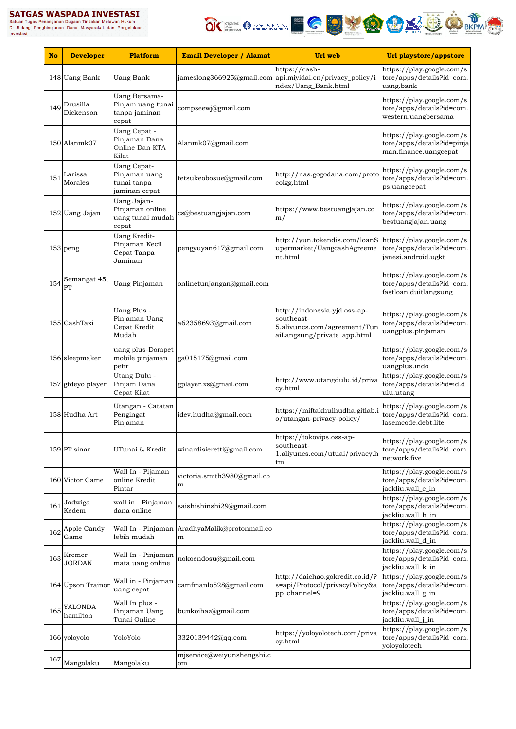Satuan Tugas Penanganan Dugaan Tindakan Melawan Hukum<br>Di Bidang Penghimpunan Dugaan Tindakan Melawan Hukum<br>Investasi<br>Investasi



| <b>No</b> | <b>Developer</b>        | <b>Platform</b>                                                     | <b>Email Developer / Alamat</b>                    | Url web                                                                                                   | Url playstore/appstore                                                                          |
|-----------|-------------------------|---------------------------------------------------------------------|----------------------------------------------------|-----------------------------------------------------------------------------------------------------------|-------------------------------------------------------------------------------------------------|
|           | 148 Uang Bank           | <b>Uang Bank</b>                                                    |                                                    | https://cash-<br>jameslong366925@gmail.com api.miyidai.cn/privacy_policy/i<br>ndex/Uang_Bank.html         | https://play.google.com/s<br>tore/apps/details?id=com.<br>uang.bank                             |
| 149       | Drusilla<br>Dickenson   | Uang Bersama-<br>Pinjam uang tunai<br>tanpa jaminan<br>cepat        | compseewj@gmail.com                                |                                                                                                           | https://play.google.com/s<br>tore/apps/details?id=com.<br>western.uangbersama                   |
|           | 150 Alanmk07            | Uang Cepat -<br>Pinjaman Dana<br>Online Dan KTA<br>Kilat            | Alanmk07@gmail.com                                 |                                                                                                           | https://play.google.com/s<br>tore/apps/details?id=pinja<br>man.finance.uangcepat                |
| 151       | Larissa<br>Morales      | <b>Uang Cepat-</b><br>Pinjaman uang<br>tunai tanpa<br>jaminan cepat | tetsukeobosue@gmail.com                            | http://nas.gogodana.com/proto<br>colgg.html                                                               | https://play.google.com/s<br>tore/apps/details?id=com.<br>ps.uangcepat                          |
|           | 152 Uang Jajan          | Uang Jajan-<br>Pinjaman online<br>uang tunai mudah<br>cepat         | cs@bestuangjajan.com                               | https://www.bestuangjajan.co<br>m/                                                                        | https://play.google.com/s<br>tore/apps/details?id=com.<br>bestuangjajan.uang                    |
|           | 153 peng                | Uang Kredit-<br>Pinjaman Kecil<br>Cepat Tanpa<br>Jaminan            | pengyuyan617@gmail.com                             | http://yun.tokendis.com/loanS<br>upermarket/UangcashAgreeme<br>nt.html                                    | https://play.google.com/s<br>tore/apps/details?id=com.<br>janesi.android.ugkt                   |
| 154       | Semangat 45,<br>PT      | <b>Uang Pinjaman</b>                                                | onlinetunjangan@gmail.com                          |                                                                                                           | https://play.google.com/s<br>tore/apps/details?id=com.<br>fastloan.duitlangsung                 |
|           | 155 CashTaxi            | Uang Plus -<br>Pinjaman Uang<br>Cepat Kredit<br>Mudah               | a62358693@gmail.com                                | http://indonesia-yjd.oss-ap-<br>southeast-<br>5.aliyuncs.com/agreement/Tun<br>aiLangsung/private_app.html | https://play.google.com/s<br>tore/apps/details?id=com.<br>uangplus.pinjaman                     |
|           | 156 sleepmaker          | uang plus-Dompet<br>mobile pinjaman<br>petir                        | ga015175@gmail.com                                 |                                                                                                           | https://play.google.com/s<br>tore/apps/details?id=com.<br>uangplus.indo                         |
|           | 157 gtdeyo player       | Utang Dulu -<br>Pinjam Dana<br>Cepat Kilat                          | gplayer.xs@gmail.com                               | http://www.utangdulu.id/priva<br>cy.html                                                                  | https://play.google.com/s<br>tore/apps/details?id=id.d<br>ulu.utang                             |
|           | 158 Hudha Art           | Utangan - Catatan<br>Pengingat<br>Pinjaman                          | idev.hudha@gmail.com                               | https://miftakhulhudha.gitlab.i<br>o/utangan-privacy-policy/                                              | https://play.google.com/s<br>tore/apps/details?id=com.<br>lasemcode.debt.lite                   |
|           | 159 PT sinar            | UTunai & Kredit                                                     | winardisieretti@gmail.com                          | https://tokovips.oss-ap-<br>southeast-<br>1.aliyuncs.com/utuai/privacy.h<br>tml                           | https://play.google.com/s<br>tore/apps/details?id=com.<br>network.five                          |
|           | 160 Victor Game         | Wall In - Pijaman<br>online Kredit<br>Pintar                        | victoria.smith3980@gmail.co<br>m                   |                                                                                                           | https://play.google.com/s<br>tore/apps/details?id=com.<br>jackliu.wall_c_in                     |
| 161       | Jadwiga<br>Kedem        | wall in - Pinjaman<br>dana online                                   | saishishinshi29@gmail.com                          |                                                                                                           | $\overline{\text{https://play.google.com/s}}$<br>tore/apps/details?id=com.<br>jackliu.wall_h_in |
| 162       | Apple Candy<br>Game     | lebih mudah                                                         | Wall In - Pinjaman AradhyaMalik@protonmail.co<br>m |                                                                                                           | https://play.google.com/s<br>tore/apps/details?id=com.<br>jackliu.wall_d_in                     |
| 163       | Kremer<br><b>JORDAN</b> | Wall In - Pinjaman<br>mata uang online                              | nokoendosu@gmail.com                               |                                                                                                           | https://play.google.com/s<br>tore/apps/details?id=com.<br>jackliu.wall_k_in                     |
|           | 164 Upson Trainor       | Wall in - Pinjaman<br>uang cepat                                    | camfmanlo528@gmail.com                             | http://daichao.gokredit.co.id/?<br>s=api/Protocol/privacyPolicy&a<br>pp_channel=9                         | https://play.google.com/s<br>tore/apps/details?id=com.<br>jackliu.wall_g_in                     |
| 165       | YALONDA<br>hamilton     | Wall In plus -<br>Pinjaman Uang<br>Tunai Online                     | bunkoihaz@gmail.com                                |                                                                                                           | https://play.google.com/s<br>tore/apps/details?id=com.<br>jackliu.wall_j_in                     |
|           | 166 yoloyolo            | YoloYolo                                                            | 3320139442@qq.com                                  | https://yoloyolotech.com/priva<br>cy.html                                                                 | https://play.google.com/s<br>tore/apps/details?id=com.<br>yoloyolotech                          |
|           | $^{167}\!$ Mangolaku    | Mangolaku                                                           | mjservice@weiyunshengshi.c<br>om                   |                                                                                                           |                                                                                                 |